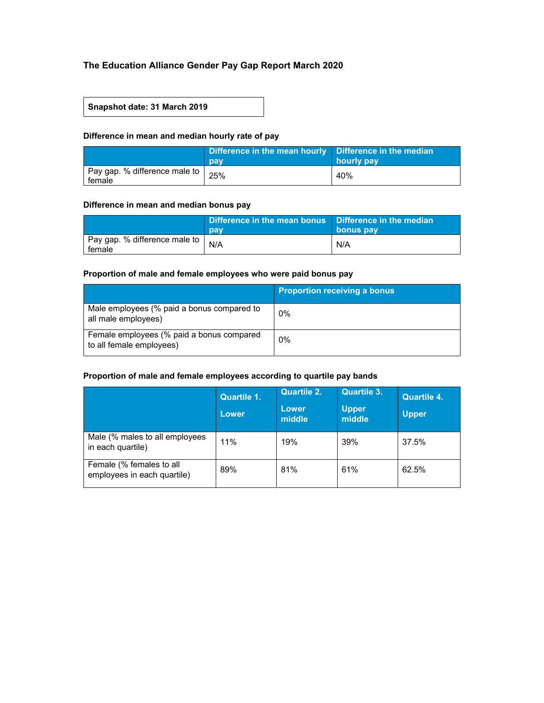# **The Education Alliance Gender Pay Gap Report March 2020**

#### **Snapshot date: 31 March 2019**

## **Difference in mean and median hourly rate of pay**

|                                           | Difference in the mean hourly   Difference in the median<br>pay | hourly pay |
|-------------------------------------------|-----------------------------------------------------------------|------------|
| Pay gap. % difference male to  <br>female | 25%                                                             | 40%        |

#### **Difference in mean and median bonus pay**

|                                           | Difference in the mean bonus Difference in the median<br>pay | bonus pay |
|-------------------------------------------|--------------------------------------------------------------|-----------|
| Pay gap. % difference male to  <br>female | N/A                                                          | N/A       |

# **Proportion of male and female employees who were paid bonus pay**

|                                                                       | <b>Proportion receiving a bonus</b> |
|-----------------------------------------------------------------------|-------------------------------------|
| Male employees (% paid a bonus compared to<br>all male employees)     | $0\%$                               |
| Female employees (% paid a bonus compared<br>to all female employees) | 0%                                  |

#### **Proportion of male and female employees according to quartile pay bands**

|                                                         | <b>Quartile 1.</b><br>'Lower. | <b>Quartile 2.</b><br>Lower<br>middle | <b>Quartile 3.</b><br><b>Upper</b><br>middle | <b>Quartile 4.</b><br><b>Upper</b> |
|---------------------------------------------------------|-------------------------------|---------------------------------------|----------------------------------------------|------------------------------------|
| Male (% males to all employees<br>in each quartile)     | 11%                           | 19%                                   | 39%                                          | 37.5%                              |
| Female (% females to all<br>employees in each quartile) | 89%                           | 81%                                   | 61%                                          | 62.5%                              |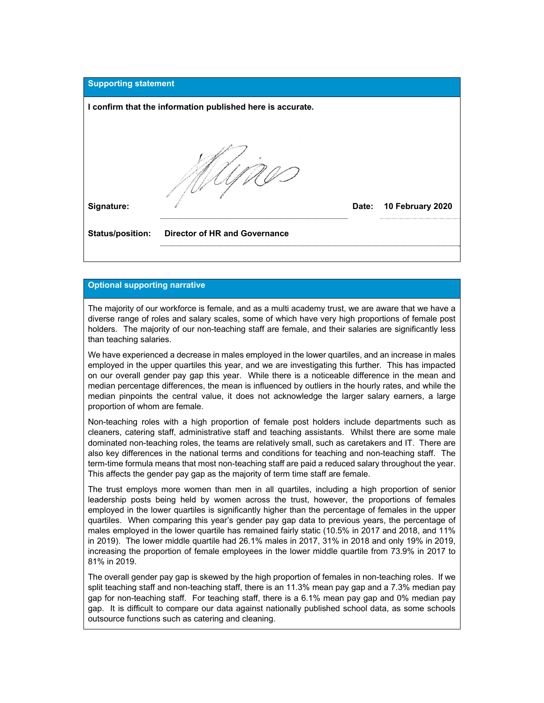

## **Optional supporting narrative**

The majority of our workforce is female, and as a multi academy trust, we are aware that we have a diverse range of roles and salary scales, some of which have very high proportions of female post holders. The majority of our non-teaching staff are female, and their salaries are significantly less than teaching salaries.

We have experienced a decrease in males employed in the lower quartiles, and an increase in males employed in the upper quartiles this year, and we are investigating this further. This has impacted on our overall gender pay gap this year. While there is a noticeable difference in the mean and median percentage differences, the mean is influenced by outliers in the hourly rates, and while the median pinpoints the central value, it does not acknowledge the larger salary earners, a large proportion of whom are female.

Non-teaching roles with a high proportion of female post holders include departments such as cleaners, catering staff, administrative staff and teaching assistants. Whilst there are some male dominated non-teaching roles, the teams are relatively small, such as caretakers and IT. There are also key differences in the national terms and conditions for teaching and non-teaching staff. The term-time formula means that most non-teaching staff are paid a reduced salary throughout the year. This affects the gender pay gap as the majority of term time staff are female.

The trust employs more women than men in all quartiles, including a high proportion of senior leadership posts being held by women across the trust, however, the proportions of females employed in the lower quartiles is significantly higher than the percentage of females in the upper quartiles. When comparing this year's gender pay gap data to previous years, the percentage of males employed in the lower quartile has remained fairly static (10.5% in 2017 and 2018, and 11% in 2019). The lower middle quartile had 26.1% males in 2017, 31% in 2018 and only 19% in 2019, increasing the proportion of female employees in the lower middle quartile from 73.9% in 2017 to 81% in 2019.

The overall gender pay gap is skewed by the high proportion of females in non-teaching roles. If we split teaching staff and non-teaching staff, there is an 11.3% mean pay gap and a 7.3% median pay gap for non-teaching staff. For teaching staff, there is a 6.1% mean pay gap and 0% median pay gap. It is difficult to compare our data against nationally published school data, as some schools outsource functions such as catering and cleaning.